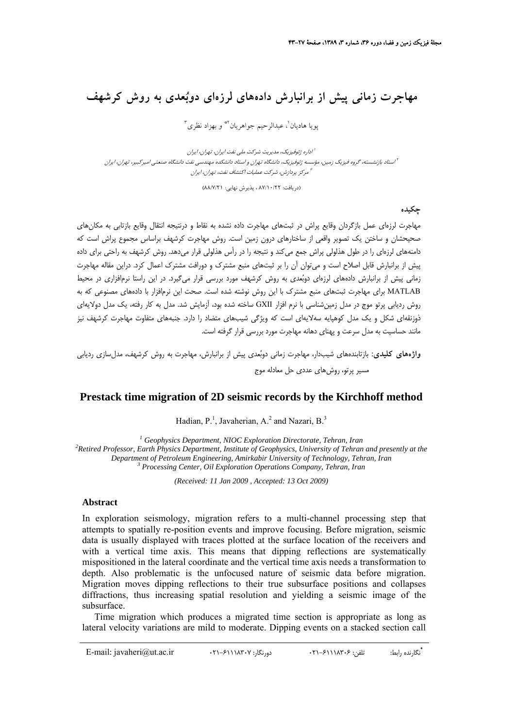# **مهاجرت زماني پيش از برانبارش دادههاي لرزهاي دوبعدي به روش كرشهف**

پويا هاديان ٰ، عبدالرحيم جواهريان <sup>٢</sup>\* و بهزاد نظري

اداره ژئوفيزيك، مديريت شركت ملي نفت ايران، تهران، ايران <sup>1</sup> استاد بازنشسته، گروه فيزيك زمين، مؤسسه ژئوفيزيك، دانشگاه تهران <sup>و</sup> استاد دانشكده مهندسي نفت دانشگاه صنعتي اميركبير، تهران، ايران <sup>2</sup> مركز پردازش، شركت عمليات اكتشاف نفت، تهران، ايران <sup>3</sup>

(دريافت: 87/10/22 ، پذيرش نهايي: 88/7/21)

**چكيده**

مهاجرت لرزهاي عمل بازگردان وقايع پراش در ثبتهاي مهاجرت داده نشده به نقاط و درنتيجه انتقال وقايع بازتابي به مكانهاي صحيحشان و ساختن يك تصوير واقعي از ساختارهاي درون زمين است. روش مهاجرت كرشهف براساس مجموع پراش است كه دامنههاي لرزهاي را در طول هذلولي پراش جمع ميكند و نتيجه را در رأس هذلولي قرار ميدهد. روش كرشهف به راحتي براي داده پيش از برانبارش قابل اصلاح است و ميتوان آن را بر ثبتهاي منبع مشترك و دورافت مشترك اعمال كرد. دراين مقاله مهاجرت زماني پيش از برانبارش دادههاي لرزهاي دوبعدي به روش كرشهف مورد بررسي قرار ميگيرد. در اين راستا نرمافزاري در محيط MATLAB براي مهاجرت ثبتهاي منبع مشترك با اين روش نوشته شده است. صحت اين نرمافزار با دادههاي مصنوعي كه به روش رديابي پرتو موج در مدل زمينشناسي با نرم افزار GXII ساخته شده بود، آزمايش شد. مدل به كار رفته، يك مدل دولايهاي .<br>ذوزنقهاي شكل و يك مدل كوهپايه سهلايهاي است كه ويژگي شيبهاي متضاد را دارد. جنبههاي متفاوت مهاجرت كرشهف نيز مانند حساسيت به مدل سرعت و پهناي دهانه مهاجرت مورد بررسي قرار گرفته است.

**واژههاي كليدي:** بازتابندههاي شيبدار، مهاجرت زماني دوبعدي پيش از برانبارش، مهاجرت به روش كرشهف، مدلسازي رديابي مسير پرتو، روشهاي عددي حل معادله موج

# **Prestack time migration of 2D seismic records by the Kirchhoff method**

Hadian,  $P^{1}$ , Javaherian, A.<sup>2</sup> and Nazari, B.<sup>3</sup>

<sup>1</sup> Geophysics Department, NIOC Exploration Directorate, Tehran, Iran<sup>2</sup> Batined Buckescon, Fauth Blowing, Department, Institute of Ceophysics, University of Tehran <sup>2</sup> Retired Professor, Earth Physics Department, Institute of Geophysics, University of Tehran and presently at the *Department of Petroleum Engineering, Amirkabir University of Technology, Tehran, Iran <sup>3</sup> Processing Center, Oil Exploration Operations Company, Tehran, Iran*

*(Received: 11 Jan 2009 , Accepted: 13 Oct 2009)*

### **Abstract**

In exploration seismology, migration refers to a multi-channel processing step that attempts to spatially re-position events and improve focusing. Before migration, seismic data is usually displayed with traces plotted at the surface location of the receivers and with a vertical time axis. This means that dipping reflections are systematically mispositioned in the lateral coordinate and the vertical time axis needs a transformation to depth. Also problematic is the unfocused nature of seismic data before migration. Migration moves dipping reflections to their true subsurface positions and collapses diffractions, thus increasing spatial resolution and yielding a seismic image of the subsurface.

Time migration which produces a migrated time section is appropriate as long as lateral velocity variations are mild to moderate. Dipping events on a stacked section call

**<sup>\*</sup>** E-mail: javaheri@ut.ac.ir 021-61118307 :دورنگار 021-61118306 :تلفن :رابط نگارنده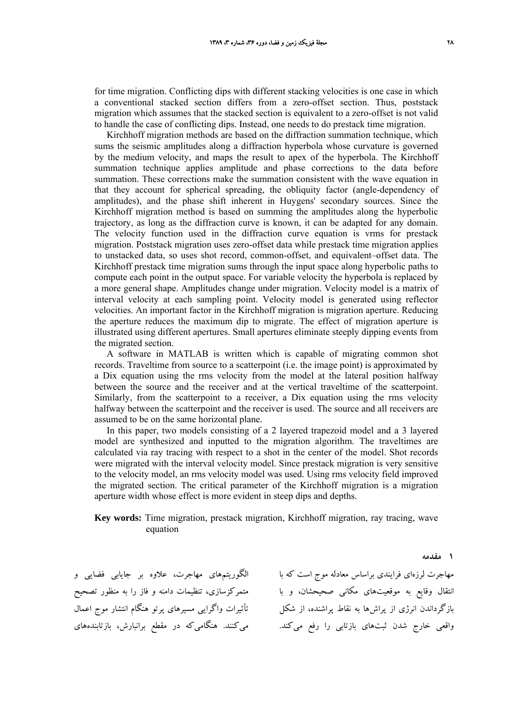for time migration. Conflicting dips with different stacking velocities is one case in which a conventional stacked section differs from a zero-offset section. Thus, poststack migration which assumes that the stacked section is equivalent to a zero-offset is not valid to handle the case of conflicting dips. Instead, one needs to do prestack time migration.

Kirchhoff migration methods are based on the diffraction summation technique, which sums the seismic amplitudes along a diffraction hyperbola whose curvature is governed by the medium velocity, and maps the result to apex of the hyperbola. The Kirchhoff summation technique applies amplitude and phase corrections to the data before summation. These corrections make the summation consistent with the wave equation in that they account for spherical spreading, the obliquity factor (angle-dependency of amplitudes), and the phase shift inherent in Huygens' secondary sources. Since the Kirchhoff migration method is based on summing the amplitudes along the hyperbolic trajectory, as long as the diffraction curve is known, it can be adapted for any domain. The velocity function used in the diffraction curve equation is vrms for prestack migration. Poststack migration uses zero-offset data while prestack time migration applies to unstacked data, so uses shot record, common-offset, and equivalent–offset data. The Kirchhoff prestack time migration sums through the input space along hyperbolic paths to compute each point in the output space. For variable velocity the hyperbola is replaced by a more general shape. Amplitudes change under migration. Velocity model is a matrix of interval velocity at each sampling point. Velocity model is generated using reflector velocities. An important factor in the Kirchhoff migration is migration aperture. Reducing the aperture reduces the maximum dip to migrate. The effect of migration aperture is illustrated using different apertures. Small apertures eliminate steeply dipping events from the migrated section.

A software in MATLAB is written which is capable of migrating common shot records. Traveltime from source to a scatterpoint (i.e. the image point) is approximated by a Dix equation using the rms velocity from the model at the lateral position halfway between the source and the receiver and at the vertical traveltime of the scatterpoint. Similarly, from the scatterpoint to a receiver, a Dix equation using the rms velocity halfway between the scatterpoint and the receiver is used. The source and all receivers are assumed to be on the same horizontal plane.

In this paper, two models consisting of a 2 layered trapezoid model and a 3 layered model are synthesized and inputted to the migration algorithm. The traveltimes are calculated via ray tracing with respect to a shot in the center of the model. Shot records were migrated with the interval velocity model. Since prestack migration is very sensitive to the velocity model, an rms velocity model was used. Using rms velocity field improved the migrated section. The critical parameter of the Kirchhoff migration is a migration aperture width whose effect is more evident in steep dips and depths.

**Key words:** Time migration, prestack migration, Kirchhoff migration, ray tracing, wave equation

الگوريتمهاي مهاجرت، علاوه بر جايابي فضايي و متمركزسازي، تنظيمات دامنه و فاز را به منظور تصحيح تأثيرات واگرايي مسيرهاي پرتو هنگام انتشار موج اعمال

مهاجرت لرزهاي فرايندي براساس معادله موج است كه با انتقال وقايع به موقعيتهاي مكاني صحيحشان، و با بازگرداندن انرژي از پراشها به نقاط پراشنده، از شكل واقعي خارج شدن ثبتهاي بازتابي را رفع ميكند. ميكنند. هنگاميكه در مقطع برانبارش، بازتابندههاي

#### **1 مقدمه**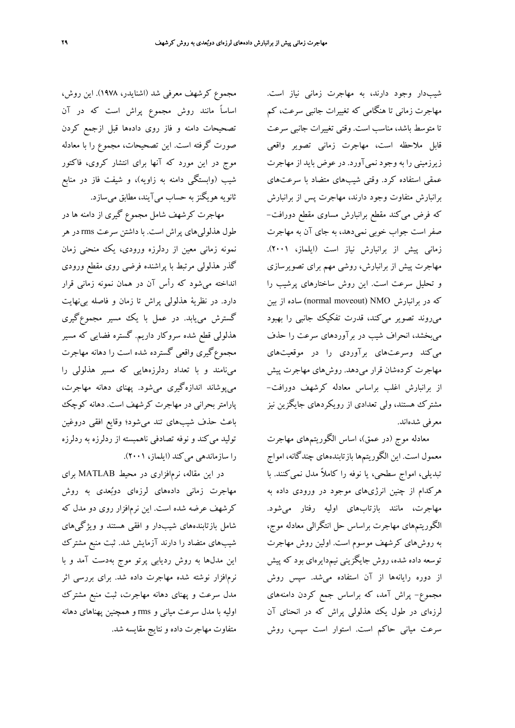مجموع كرشهف معرفي شد (اشنايدر، 1978). اين روش، اساساً مانند روش مجموع پراش است كه در آن تصحيحات دامنه و فاز روي دادهها قبل ازجمع كردن صورت گرفته است. اين تصحيحات، مجموع را با معادله موج در اين مورد كه آنها براي انتشار كروي، فاكتور شيب (وابستگي دامنه به زاويه)، و شيفت فاز در منابع ثانويه هويگنزبه حساب ميآيند، مطابق ميسازد.

مهاجرت كرشهف شامل مجموع گيري از دامنه ها در طول هذلوليهاي پراش است. با داشتن سرعت rms در هر نمونه زماني معين از ردلرزه ورودي، يك منحني زمان گذر هذلولي مرتبط با پراشنده فرضي روي مقطع ورودي انداخته ميشود كه رأس آن در همان نمونه زماني قرار دارد. در نظرية هذلولي پراش تا زمان و فاصله بينهايت گسترش مييابد. در عمل با يك مسير مجموعگيري هذلولي قطع شده سروكار داريم. گستره فضايي كه مسير مجموعگيري واقعي گسترده شده است را دهانه مهاجرت مينامند و با تعداد ردلرزههايي كه مسير هذلولي را ميپوشاند اندازهگيري ميشود. پهناي دهانه مهاجرت، پارامتر بحراني در مهاجرت كرشهف است. دهانه كوچك باعث حذف شيبهاي تند ميشود؛ وقايع افقي دروغين توليد ميكند و نوفه تصادفي ناهمبسته از ردلرزه به ردلرزه را سازماندهي ميكند (ايلماز، 2001).

در اين مقاله، نرمافزاري در محيط MATLAB براي مهاجرت زماني دادههاي لرزهاي دوبعدي به روش كرشهف عرضه شده است. اين نرمافزار روي دو مدل كه شامل بازتابندههاي شيبدار و افقي هستند و ويژگيهاي شيبهاي متضاد را دارند آزمايش شد. ثبت منبع مشترك اين مدلها به روش رديابي پرتو موج بهدست آمد و با نرمافزار نوشته شده مهاجرت داده شد. براي بررسي اثر مدل سرعت و پهناي دهانه مهاجرت، ثبت منبع مشترك اوليه با مدل سرعت مياني و rms و همچنين پهناهاي دهانه متفاوت مهاجرت داده و نتايج مقايسه شد.

شيبدار وجود دارند، به مهاجرت زماني نياز است. مهاجرت زماني تا هنگامي كه تغييرات جانبي سرعت، كم تا متوسط باشد، مناسب است. وقتي تغييرات جانبي سرعت قابل ملاحظه است، مهاجرت زماني تصوير واقعي زيرزميني را به وجود نميآورد. در عوض بايد از مهاجرت عمقي استفاده كرد. وقتي شيبهاي متضاد با سرعتهاي برانبارش متفاوت وجود دارند، مهاجرت پس از برانبارش كه فرض ميكند مقطع برانبارش مساوي مقطع دورافت- صفر است جواب خوبي نميدهد، به جاي آن به مهاجرت زماني پيش از برانبارش نياز است (ايلماز، 2001). مهاجرت پيش از برانبارش، روشي مهم براي تصويرسازي و تحليل سرعت است. اين روش ساختارهاي پرشيب را كه در برانبارش NMO) moveout normal (ساده از بين ميروند تصوير ميكند، قدرت تفكيك جانبي را بهبود ميبخشد، انحراف شيب در برآوردهاي سرعت را حذف ميكند وسرعتهاي برآوردي را در موقعيتهاي مهاجرت كردهشان قرار ميدهد. روشهاي مهاجرت پيش از برانبارش اغلب براساس معادله كرشهف دورافت- مشترك هستند، ولي تعدادي از رويكردهاي جايگزين نيز معرفي شدهاند.

معادله موج (در عمق)، اساس الگوريتمهاي مهاجرت معمول است. اين الگوريتمها بازتابندههاي چندگانه، امواج تبديلي، امواج سطحي، يا نوفه را كاملاً مدل نميكنند. با هركدام از چنين انرژيهاي موجود در ورودي داده به مهاجرت، مانند بازتابهاي اوليه رفتار ميشود. الگوريتمهاي مهاجرت براساس حل انتگرالي معادله موج، به روشهاي كرشهف موسوم است. اولين روش مهاجرت توسعه داده شده، روش جايگزيني نيمدايرهاي بود كه پيش از دوره رايانهها از آن استفاده ميشد. سپس روش مجموع- پراش آمد، كه براساس جمع كردن دامنههاي لرزهاي در طول يك هذلولي پراش كه در انحناي آن سرعت مياني حاكم است. استوار است سپس، روش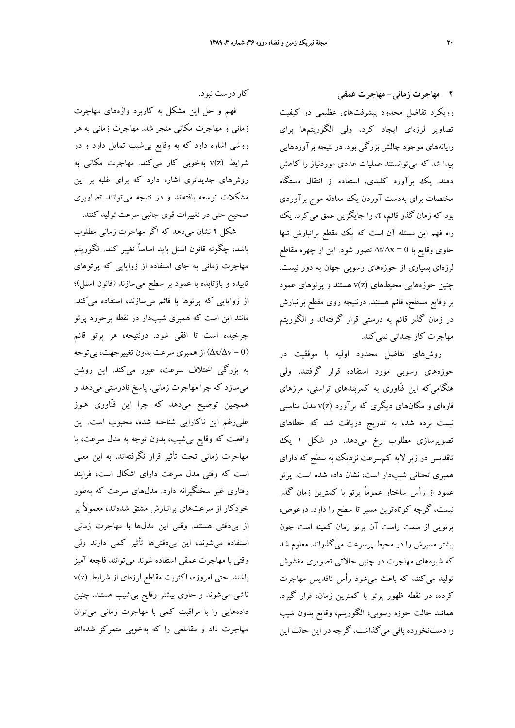**2 مهاجرت زماني- مهاجرت عمقي** رويكرد تفاضل محدود پيشرفتهاي عظيمي در كيفيت تصاوير لرزهاي ايجاد كرد، ولي الگوريتمها براي رايانههاي موجود چالش بزرگي بود. در نتيجه برآوردهايي پيدا شد كه ميتوانستند عمليات عددي موردنياز را كاهش دهند. يك برآورد كليدي، استفاده از انتقال دستگاه مختصات براي بهدست آوردن يك معادله موج برآوردي بود كه زمان گذر قائم، τ، را جايگزين عمق ميكرد. يك راه فهم اين مسئله آن است كه يك مقطع برانبارش تنها حاوي وقايع با 0 = Δx/Δt تصور شود. اين از چهره مقاطع لرزهاي بسياري از حوزههاي رسوبي جهان به دور نيست. چنين حوزههايي محيطهاي (z(v هستند و پرتوهاي عمود بر وقايع مسطح، قائم هستند. درنتيجه روي مقطع برانبارش در زمان گذر قائم به درستي قرار گرفتهاند و الگوريتم مهاجرت كار چنداني نمي كند.

روشهاي تفاضل محدود اوليه با موفقيت در حوزههاي رسوبي مورد استفاده قرار گرفتند، ولي هنگاميكه اين ّفناوري به كمربندهاي تراستي، مرزهاي قارهاي و مكانهاي ديگري كه برآورد (z(v مدل مناسبي نيست برده شد، به تدريج دريافت شد كه خطاهاي تصويرسازي مطلوب رخ ميدهد. در شكل 1 يك تاقديس در زير لايه كمسرعت نزديك به سطح كه داراي همبري تحتاني شيبدار است، نشان داده شده است. پرتو عمود از رأس ساختار عموماً پرتو با كمترين زمان گذر نيست، گرچه كوتاهترين مسير تا سطح را دارد. درعوض، پرتويي از سمت راست آن پرتو زمان كمينه است چون بيشتر مسيرش را در محيط پرسرعت ميگذراند. معلوم شد كه شيوههاي مهاجرت در چنين حالاتي تصويري مغشوش توليد ميكنند كه باعث ميشود رأس تاقديس مهاجرت كرده، در نقطه ظهور پرتو با كمترين زمان، قرار گيرد. همانند حالت حوزه رسوبي، الگوريتم، وقايع بدون شيب را دستنخورده باقي ميگذاشت، گرچه در اين حالت اين

كار درست نبود.

فهم و حل اين مشكل به كاربرد واژههاي مهاجرت زماني و مهاجرت مكاني منجر شد. مهاجرت زماني به هر روشي اشاره دارد كه به وقايع بيشيب تمايل دارد و در شرايط (z(v بهخوبي كار ميكند. مهاجرت مكاني به روشهاي جديدتري اشاره دارد كه براي غلبه بر اين مشكلات توسعه بافتهاند و در نتيجه ميتوانند تصاويري صحيح حتي در تغييرات قوي جانبي سرعت توليد كنند.

شكل 2 نشان ميدهد كه اگر مهاجرت زماني مطلوب باشد، چگونه قانون اسنل بايد اساساً تغيير كند. الگوريتم مهاجرت زماني به جاي استفاده از زوايايي كه پرتوهاي تابيده و بازتابده با عمود بر سطح ميسازند (قانون اسنل)؛ از زوايايي كه پرتوها با قائم ميسازند، استفاده ميكند. مانند اين است كه همبري شيبدار در نقطه برخورد پرتو چرخيده است تا افقي شود. درنتيجه، هر پرتو قائم (( $\Delta {\rm x}/\Delta {\rm v}$ ) از همبري سرعت بدون تغييرجهت، بيتوجه به بزرگي اختلاف سرعت، عبور ميكند. اين روشن ميسازد كه چرا مهاجرت زماني، پاسخ نادرستي ميدهد و همچنين توضيح ميدهد كه چرا اين فنّاوري هنوز عليرغم اين ناكارايي شناخته شده، محبوب است. اين واقعيت كه وقايع بيشيب، بدون توجه به مدل سرعت، با مهاجرت زماني تحت تأثير قرار نگرفتهاند، به اين معني است كه وقتي مدل سرعت داراي اشكال است، فرايند رفتاري غير سختگيرانه دارد. مدلهاي سرعت كه بهطور خودكار از سرعتهاي برانبارش مشتق شدهاند، معمولاً پر از بيدقتي هستند. وقتي اين مدلها با مهاجرت زماني استفاده ميشوند، اين بيدقتيها تأثير كمي دارند ولي وقتي با مهاجرت عمقي استفاده شوند ميتوانند فاجعه آميز باشند. حتي امروزه، اكثريت مقاطع لرزهاي از شرايط (z(v ناشي ميشوند و حاوي بيشتر وقايع بيشيب هستند. چنين دادههايي را با مراقبت كمي با مهاجرت زماني ميتوان مهاجرت داد و مقاطعي را كه بهخوبي متمركز شدهاند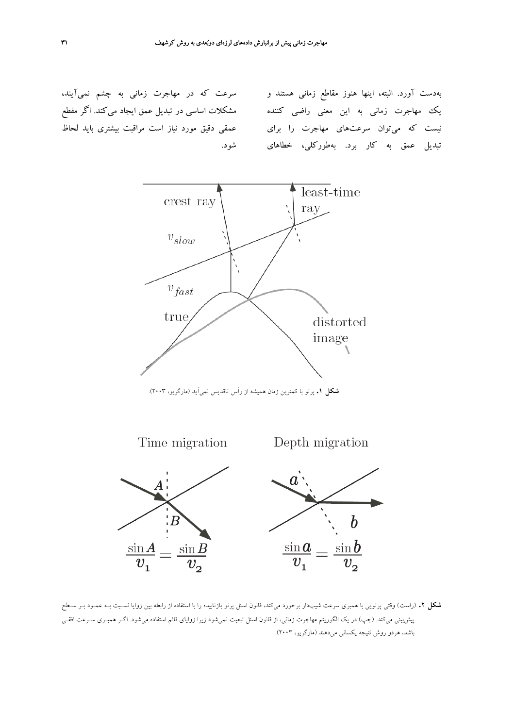سرعت كه در مهاجرت زماني به چشم نميآيند، مشكلات اساسي در تبديل عمق ايجاد ميكند. اگر مقطع عمقي دقيق مورد نياز است مراقبت بيشتري بايد لحاظ شود.

بهدست آورد. البته، اينها هنوز مقاطع زماني هستند و يك مهاجرت زماني به اين معني راضي كننده نيست كه ميتوان سرعتهاي مهاجرت را براي تبديل عمق به كار برد. بهطوركلي، خطاهاي



**شكل .1** پرتو با كمترين زمان هميشه از رأس تاقديس نميآيد (مارگريو، 2003).



**شكل .2** (راست) وقتي پرتويي با همبري سرعت شيبدار برخورد ميكند، قانون اسنل پرتو بازتابيده را با استفاده از رابطه بين زوايا نسـبت بـه عمـود بـر سـطح پيشبيني ميكند. (چپ) در يك الگوريتم مهاجرت زماني، از قانون اسنل تبعيت نميشود زيرا زواياي قائم استفاده ميشود. اگـر همبـري سـرعت افقـي باشد، هردو روش نتيجه يكساني ميدهند (مارگريو، 2003).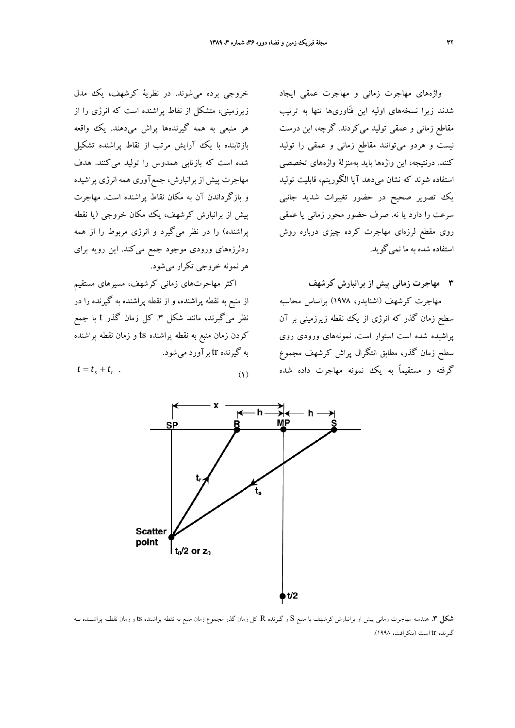واژههاي مهاجرت زماني و مهاجرت عمقي ايجاد شدند زيرا نسخههاي اوليه اين فنّاوريها تنها به ترتيب مقاطع زماني و عمقي توليد ميكردند. گرچه، اين درست نيست و هردو ميتوانند مقاطع زماني و عمقي را توليد كنند. درنتيجه، اين واژهها بايد بهمنزلة واژههاي تخصصي استفاده شوند كه نشان ميدهد آيا الگوريتم، قابليت توليد يك تصوير صحيح در حضور تغييرات شديد جانبي سرعت را دارد يا نه. صرف حضور محور زماني يا عمقي روي مقطع لرزهاي مهاجرت كرده چيزي درباره روش استفاده شده به ما نميگويد.

**3 مهاجرت زماني پيش از برانبارش كرشهف**

مهاجرت كرشهف (اشنايدر، 1978) براساس محاسبه سطح زمان گذر كه انرژي از يك نقطه زيرزميني بر آن پراشيده شده است استوار است. نمونههاي ورودي روي سطح زمان گذر، مطابق انتگرال پراش كرشهف مجموع گرفته و مستقيماً به يك نمونه مهاجرت داده شده

خروجي برده ميشوند. در نظرية كرشهف، يك مدل زيرزميني، متشكل از نقاط پراشنده است كه انرژي را از هر منبعي به همه گيرندهها پراش ميدهند. يك واقعه بازتابنده با يك آرايش مرتب از نقاط پراشنده تشكيل شده است كه بازتابي همدوس را توليد ميكنند. هدف مهاجرت پيش از برانبارش، جمعآوري همه انرژي پراشيده و بازگرداندن آن به مكان نقاط پراشنده است. مهاجرت پيش از برانبارش كرشهف، يك مكان خروجي (يا نقطه پراشنده) را در نظر ميگيرد و انرژي مربوط را از همه ردلرزههاي ورودي موجود جمع ميكند. اين رويه براي هرنمونه خروجي تكرار ميشود.

اكثر مهاجرتهاي زماني كرشهف، مسيرهاي مستقيم از منبع به نقطه پراشنده، و از نقطه پراشنده به گيرنده را در نظر ميگيرند، مانند شكل ٣. كل زمان گذر t با جمع كردن زمان منبع به نقطه پراشنده ts و زمان نقطه پراشنده به گيرنده tr برآورد ميشود.

 $t = t_s + t_r$  (1)



**شكل .3** هندسه مهاجرت زماني پيش از برانبارش كرشهف با منبع S و گيرنده R. كل زمان گذر مجموع زمان منبع به نقطه پراشنده ts و زمان نقطـه پراشـنده بـه گيرنده tr است (بنكرافت، 1998).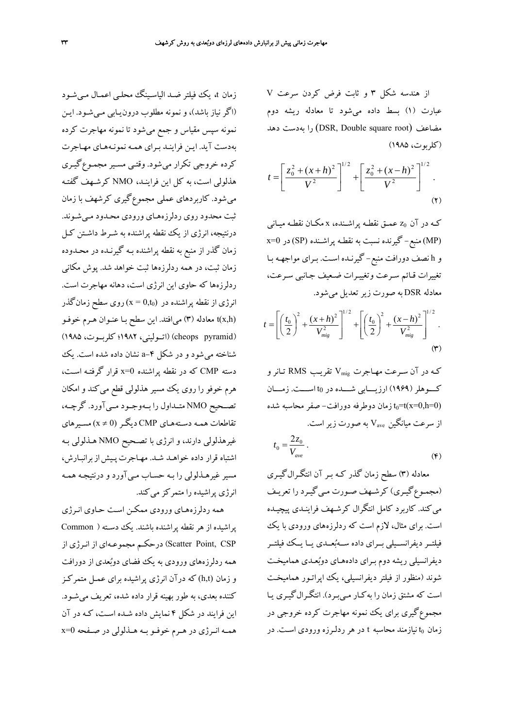از هندسه شكل 3 و ثابت فرض كردن سرعت V عبارت (1) بسط داده ميشود تا معادله ريشه دوم مضاعف (root square Double ,DSR (را بهدست دهد (كلربوت، 1985)

$$
t = \left[\frac{z_0^2 + (x+h)^2}{V^2}\right]^{1/2} + \left[\frac{z_0^2 + (x-h)^2}{V^2}\right]^{1/2}.
$$
\n
$$
(5)
$$

كـه در آن 0z عمـق نقطـه پراشـنده، x مكـان نقطـه ميـاني (MP (منبع- گيرنده نسبت به نقطـه پراشـنده (SP (در 0=x و h نصف دورافت منبع- گيرنـده اسـت. بـراي مواجهـه بـا تغييرات قـائم سـرعت وتغييـرات ضـعيف جـانبي سـرعت، معادله DSR به صورت زيرتعديل ميشود.

$$
t = \left[ \left( \frac{t_0}{2} \right)^2 + \frac{(x+h)^2}{V_{\text{mig}}^2} \right]^{1/2} + \left[ \left( \frac{t_0}{2} \right)^2 + \frac{(x-h)^2}{V_{\text{mig}}^2} \right]^{1/2}.
$$
  
(\*)

كـه در آن سـرعت مهـاجرت Vmig تقريـب RMS تـانرو كـــوهلر(1969) ارزيـــابي شـــده در 0t اســـت. زمـــان زمان دوطرفه دورافت– صفر محاسبه شده t $_0$ =t(x=0,h=0) از سرعت ميانگين  $\rm V_{ave}$  به صورت زير است.  $t_0 = \frac{2z}{\sqrt{2}}$ 

$$
V_0 = \frac{2z_0}{V_{ave}}.
$$

معادله (3) سطح زمان گذر كـه بـر آن انتگـرال گيـري (مجمـوعگيـري) كرشـهف صـورت مـيگيـرد را تعريـف ميكند. كاربرد كامل انتگرال كرشـهف فراينـدي پيچيـده است. براي مثال، لازم است كه ردلرزه هاي ورودي با يك فيلتــر ديفرانســيلي بــراي داده ســهبعــدي يــا يــك فيلتــر ديفرانسيلي ريشه دوم بـراي داده هـاي دوبعـدي هماميخـت شوند (منظور از فيلتر ديفرانسيلي، يك اپراتـور هماميخـت است كه مشتق زمان را ب هكـار مـيبـرد). انتگـرالگيـري يـا مجموعگيري براي يك نمونه مهاجرت كرده خروجي در زمان 0t نيازمند محاسبه t در هر ردلـرزه ورودي اسـت . در

زمان t، يك فيلتر ضـد الياسـينگ محلـي اعمـال مـي شـود (اگر نياز باشد)، و نمونه مطلوب درون يـابي مـيشـود. ايـن نمونه سپس مقياس و جمع مي شود تا نمونه مهاجرت كرده بهدست آيد. ايـن فراينـد بـراي همـه نمونـه هـاي مهـاجرت كرده خروجي تكرار ميشود. وقتـي مسـير مجمـوع گيـري هذلولي است، به كل اين فراينـد، NMO كرشـهف گفتـه ميشود. كاربردهاي عملي مجموعگيري كرشهف با زمان ثبت محدود روي ردلرزههـاي ورودي محـدود مـيشـوند. درنتيجه، انرژي از يك نقطه پراشنده به شـرط داشـتن كـل زمان گذر از منبع به نقطه پراشنده بـه گيرنـده در محـدوده زمان ثبت، در همه ردلرزه ها ثبت خواهد شد. پوش مكاني ردلرزهها كه حاوي اين انرژي است، دهانه مهاجرت است. انرژي از نقطه پراشنده در  $({\rm x=0, t_{0}})$  روی سطح زمانگذر (h,x(t معادله (3) ميافتد. اين سطح بـا عنـوان هـرم خوفـو (pyramid cheops) (اتــوليني، 1982؛ كلربــوت، 1985) شناخته ميشود و در شكل -4a نشان داده شده است. يك دسته CMP كه در نقطه پراشنده 0=x قرار گرفتـه اسـت، هرم خوفو را روي يك مسير هذلولي قطع مي كند و امكان تصــحيح NMO متــداول را بــهوجــود مــيآورد. گرچــه، تقاطعات همـه دسـتههـاي CMP ديگـر(0 =/ x (مسـيرهاي غيرهذلولي دارند، و انرژي با تصـحيح NMO هـذلولي بـه اشتباه قرار داده خواهـد شـد . مهـاجرتپـيشازبرانبـارش، مسير غيرهـذلولي را بـه حسـاب مـي آورد و درنتيجـه همـه انرژي پراشيده را متمركز ميكند.

همه ردلرزههـاي ورودي ممكـن اسـت حـاوي انـرژي پراشيده از هرنقطه پراشنده باشند. يك دسـته ( Common CSP ,Point Scatter (درحكـم مجموعـهاي از انـرژي از همه ردلرزههاي ورودي به يك فضاي دوبعدي از دورافت و زمان (t,h (كه درآن انرژي پراشيده براي عمـل متمركـز كننده بعدي، به طور بهينه قرار داده شده، تعريف مي شـود. اين فرايند در شكل 4 نمايش داده شـده اسـت، كـه در آن همــه انــرژي در هــرم خوفــو بــه هــذلولي در صــفحه 0=x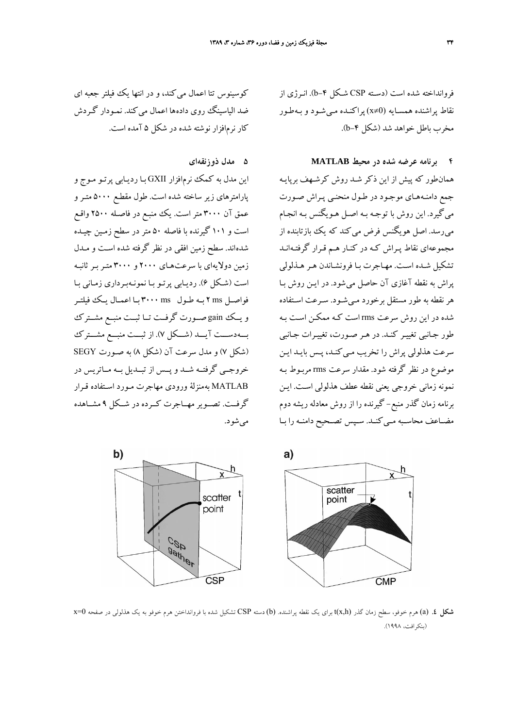فروانداخته شده است (دسـته CSP شـكل -4b(. انـرژي از نقاط پراشنده همسـايه (0=/x (پراكنـده مـيشـود و بـه طـور مخرب باطل خواهد شد (شكل ۴-b).

### **4 برنامه عرضه شده در محيط MATLAB**

همانطور كه پيش از اين ذكر شـد روش كرشـهف برپايـه جمع دامنـههـاي موجـود در طـول منحنـي پـراش صـورت ميگيرد. اين روش با توجـه بـه اصـل هـويگنس بـ ه انجـام مي رسد. اصل هويگنس فرض مي كند كه يك بازتابنده از مجموعهاي نقاط پـراش كـه در كنـار هـم قـرار گرفتـه انـد تشكيل شـده اسـت . مهـاجرت بـا فرونشـاندن هـر هـذلولي پراش به نقطه آغازي آن حاصل مي شود. در ايـن روش بـا هر نقطه به طور مستقل برخورد مـي شـود. سـرعت اسـتفاده شده در اين روش سرعت rms است كـه ممكـن اسـت بـه طور جـانبي تغييـر كنـد . در هـر صـورت، تغييـرات جـانبي سرعت هذلولي پراش را تخريب مـي كنـد، پـس بايـد ايـن موضوع در نظر گرفته شود . مقدار سرعت rms مربـوط بـه نمونه زماني خروجي يعني نقطه عطف هذلولي اسـت . ايـن برنامه زمان گذر منبع- گيرنده را از روش معادله ريشه دوم مضــاعف محاســبه مــيكنــد. ســپس تصــحيح دامنــه را بــا



## **5 مدل ذوزنقهاي**

اين مدل به كمك نرم افزار GXII بـا رديـابي پرتـو مـوج و پارامترهاي زير ساخته شده است . طول مقطـع 5000 متـر و عمق آن 3000 متر است. يك منبـع در فاصـله 2500 واقـع است و 101 گيرنده با فاصله 50 متر در سطح زمـين چيـده شدهاند. سطح زمين افقي در نظر گرفته شده اسـت و مـدل زمين دولايهاي با سرعتهـاي 2000 و 3000 متـر بـر ثانبـه است (شـكل 6). رديـابي پرتـو بـا نمونـه بـرداري زمـاني بـا فواصـل ms 2 بـه طـول ms 3000 بـا اعمـال يـك فيلتـر و يــك gain صــورت گرفــت تــا ثبــت منبــع مشــترك بـــهدســـت آيـــد (شـــكل 7). از ثبـــت منبـــع مشـــترك (شكل 7) و مدل سرعت آن (شكل 8) به صـورت SEGY خروجــي گرفتــه شــد و پــس از تبــديل بــه مــاتريس در MATLAB بهمنزلة ورودي مهاجرت مـورد اسـتفاده قـرار گرفــت. تصــوير مهــاجرت كــرده در شــكل 9 مشــاهده ميشود.

b)





**شكل .4** (a (هرم خوفو، سطح زمان گذر (h,x(t براي يك نقطه پراشنده. (b (دسته CSP تشكيل شده با فروانداختن هرم خوفو به يك هذلولي در صفحه 0=x (بنكرافت، 1998).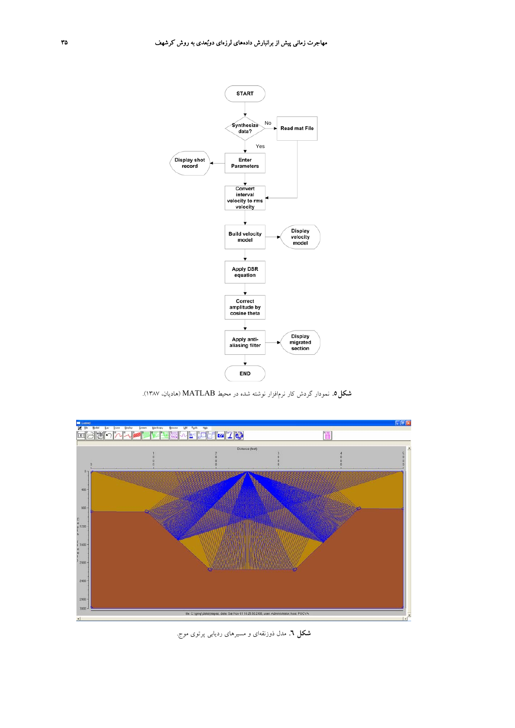

**شكل.5** نمودار گردش كار نرمافزار نوشته شده در محيط MATLAB) هاديان، 1387).



**شكل .6** مدل ذوزنقهاي و مسيرهاي رديابي پرتوي موج.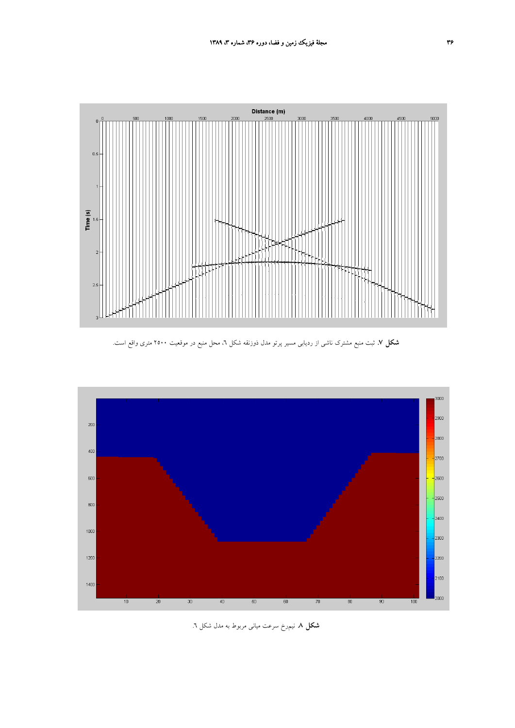

**شكل .7** ثبت منبع مشترك ناشي از رديابي مسير پرتو مدل ذوزنقه شكل ،6 محل منبع در موقعيت 2500 متري واقع است.



**شكل .8** نيمرخ سرعت مياني مربوط به مدل شكل .6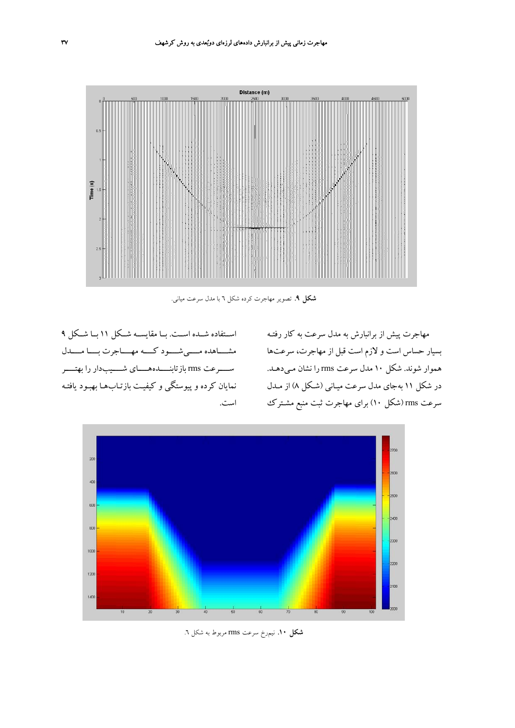

**شكل .9** تصوير مهاجرت كرده شكل 6 با مدل سرعت مياني.

اســتفاده شــده اســت. بــا مقايســه شــكل 11 بــا شــكل 9 مشــــاهده مــــيشــــود كــــه مهــــاجرت بــــا مــــدل ســــرعت rms بازتابنــــدههــــاي شــــيبدار را بهتــــر نمايان كرده و پيوستگي و كيفيـت بازتـاب هـا بهبـود يافتـه است. مهاجرت پيش از برانبارش به مدل سرعت به كار رفتـه بسيار حساس است و لازم است قبل از مهاجرت ، سرعتها هموار شوند. شكل 10 مدل سرعت rms را نشان مـيدهـد. در شكل 11 بهجاي مدل سرعت ميـاني (شـكل 8) از مـدل سرعت rms) شكل 10) براي مهاجرت ثبت منبع مشـترك



**شكل .10** نيمرخ سرعت rms مربوط به شكل .6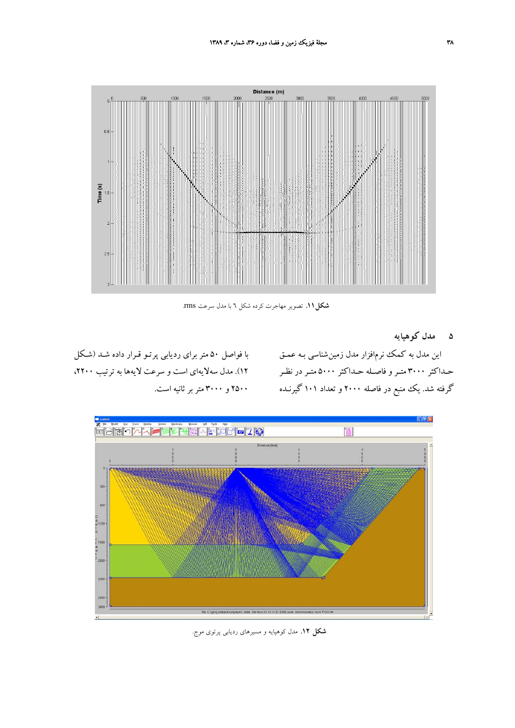

**شكل.11** تصوير مهاجرت كرده شكل 6 با مدل سرعت rms.

**5 مدل كوهپايه**

اين مدل به كمك نرم افزار مدل زمينشناسي بـه عمـق گرفته شد. يك منبع در فاصله 2000 و تعداد 101 گيرنـده 2500 و 3000 متربر ثانيه است.

حـداكثر ٣٠٠٠ متـر و فاصـله حـداكثر ٥٠٠٠ متـر در نظـر ١٢). مدل سهلايهاي است و سرعت لايهها به ترتيب ٢٢٠٠، با فواصل 50 متر براي رديابي پرتـو قـرار داده شـد (شـكل



**شكل .12** مدل كوهپايه و مسيرهاي رديابي پرتوي موج.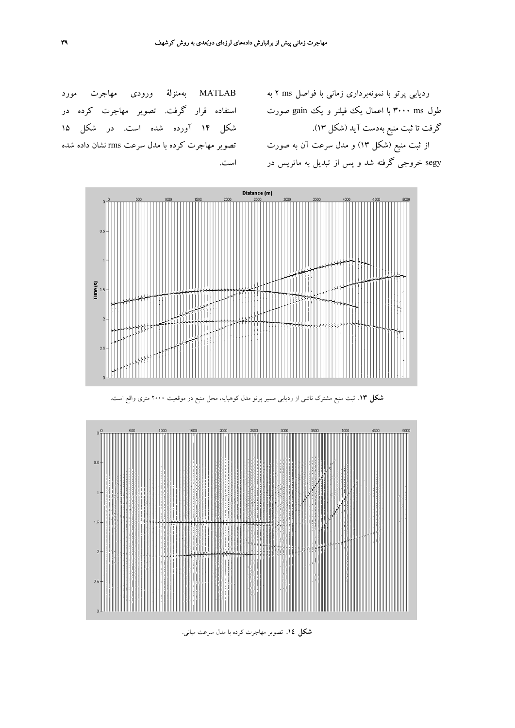MATLAB بهمنزلة ورودي مهاجرت مورد استفاده قرار گرفت. تصوير مهاجرت كرده در شكل 14 آورده شده است. در شكل 15 تصوير مهاجرت كرده با مدل سرعت rms نشان داده شده است.

رديابي پرتو با نمونهبرداري زماني با فواصل ms 2 به طول ۳۰۰۰ ms با اعمال يك فيلتر و يك gain صورت گرفت تا ثبت منبع بهدست آيد (شكل 13). از ثبت منبع (شكل 13) و مدل سرعت آن به صورت segy خروجي گرفته شد و پس از تبديل به ماتريس در





**شكل .13** ثبت منبع مشترك ناشي از رديابي مسير پرتو مدل كوهپايه، محل منبع در موقعيت 2000 متري واقع است.

**شكل .14** تصوير مهاجرت كرده با مدل سرعت مياني.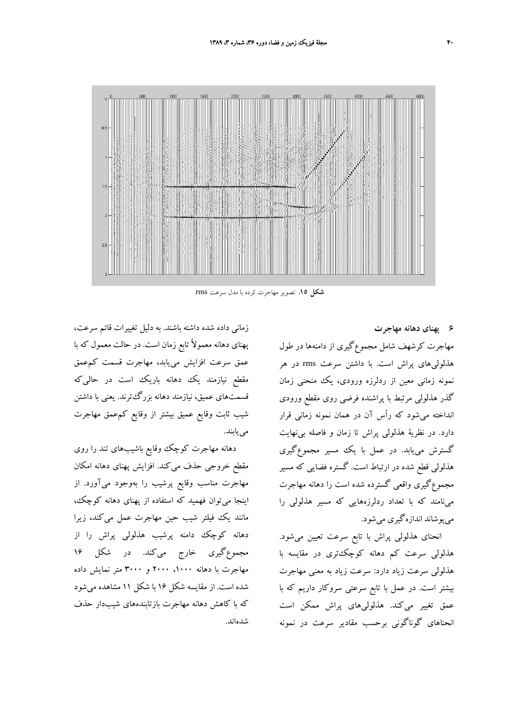

**شكل .15** تصوير مهاجرت كرده با مدل سرعت rms.

**6 پهناي دهانه مهاجرت**

مهاجرت كرشهف شامل مجموعگيري از دامنهها در طول هذلوليهاي پراش است. با داشتن سرعت rms در هر نمونه زماني معين از ردلرزه ورودي، يك منحني زمان گذر هذلولي مرتبط با پراشنده فرضي روي مقطع ورودي انداخته ميشود كه رأس آن در همان نمونه زماني قرار دارد. در نظرية هذلولي پراش تا زمان و فاصله بينهايت گسترش مييابد. در عمل با يك مسير مجموعگيري هذلولي قطع شده در ارتباط است. گستره فضايي كه مسير مجموعگيري واقعي گسترده شده است را دهانه مهاجرت مينامند كه با تعداد ردلرزههايي كه مسير هذلولي را ميپوشاند اندازهگيري ميشود.

انحناي هذلولي پراش با تابع سرعت تعيين ميشود. هذلولي سرعت كم دهانه كوچكتري در مقايسه با هذلولي سرعت زياد دارد: سرعت زياد به معني مهاجرت بيشتر است. در عمل با تابع سرعتي سروكار داريم كه با عمق تغيير ميكند. هذلوليهاي پراش ممكن است انحناهاي گوناگوني برحسب مقادير سرعت در نمونه

زماني داده شده داشته باشند. به دليل تغييرات قائم سرعت، پهناي دهانه معمولاً تابع زمان است. در حالت معمول كه با عمق سرعت افزايش مييابد، مهاجرت قسمت كمعمق مقطع نيازمند يك دهانه باريك است در حاليكه قسمتهاي عميق، نيازمند دهانه بزرگترند. يعني با داشتن شيب ثابت وقايع عميق بيشتر از وقايع كمعمق مهاجرت مييابند.

دهانه مهاجرت كوچك وقايع باشيبهاي تند را روي مقطع خروجي حذف ميكند. افزايش پهناي دهانه امكان مهاجرت مناسب وقايع پرشيب را بهوجود ميآورد. از اينجا ميتوان فهميد كه استفاده از پهناي دهانه كوچك، مانند يك فيلتر شيب حين مهاجرت عمل ميكند، زيرا دهانه كوچك دامنه پرشيب هذلولي پراش را از مجموعگيري خارج ميكند. در شكل 16 مهاجرت با دهانه ،1000 2000 و 3000 متر نمايش داده شده است. از مقايسه شكل 16 با شكل 11 مشاهده ميشود كه با كاهش دهانه مهاجرت بازتابندههاي شيبدار حذف شدهاند.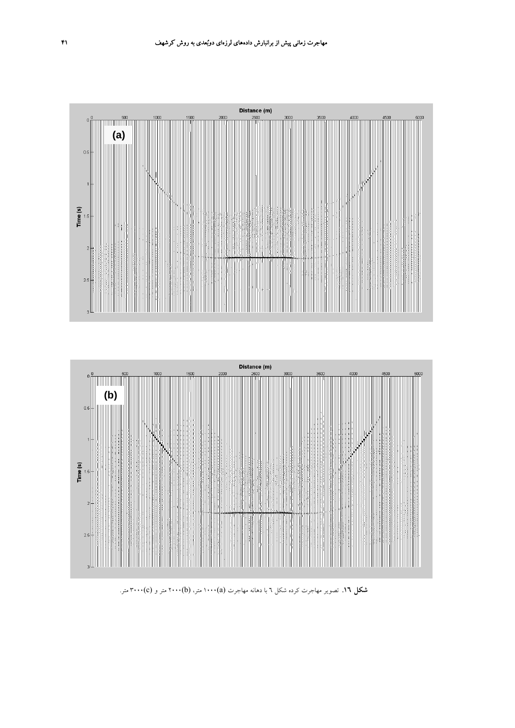



**شكل .16** تصوير مهاجرت كرده شكل 6 با دهانه مهاجرت (a(1000 متر، (b(2000 متر و (c(3000 متر.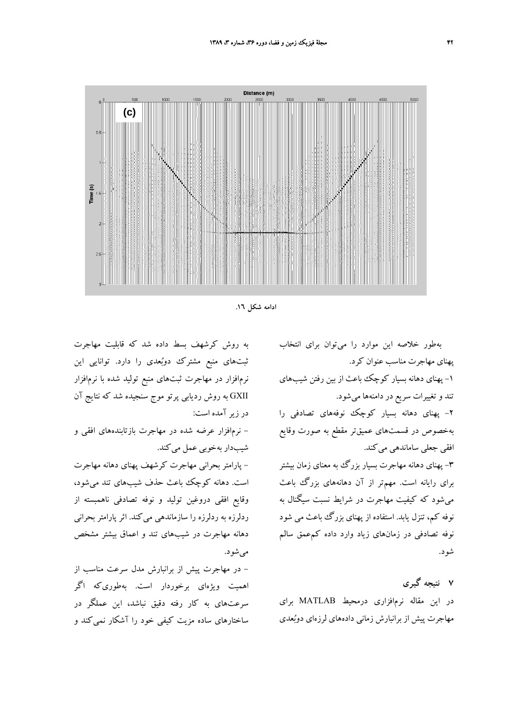



به روش كرشهف بسط داده شد كه قابليت مهاجرت ثبتهاي منبع مشترك دوبعدي را دارد. توانايي اين نرمافزار در مهاجرت ثبتهاي منبع توليد شده با نرمافزار GXII به روش رديابي پرتو موج سنجيده شد كه نتايج آن در زير آمده است:

- نرمافزار عرضه شده در مهاجرت بازتابندههاي افقي و شيبدار بهخوبي عمل ميكند.

- پارامتر بحراني مهاجرت كرشهف پهناي دهانه مهاجرت است. دهانه كوچك باعث حذف شيبهاي تند ميشود، وقايع افقي دروغين توليد و نوفه تصادفي ناهمبسته از ردلرزه به ردلرزه را سازماندهي ميكند. اثر پارامتر بحراني دهانه مهاجرت در شيبهاي تند و اعماق بيشتر مشخص ميشود.

- در مهاجرت پيش از برانبارش مدل سرعت مناسب از اهميت ويژهاي برخوردار است. بهطوريكه اگر سرعتهاي به كار رفته دقيق نباشد، اين عملگر در ساختارهاي ساده مزيت كيفي خود را آشكار نميكند و

بهطور خلاصه اين موارد را ميتوان براي انتخاب پهناي مهاجرت مناسب عنوان كرد. -1 پهناي دهانه بسيار كوچك باعث از بين رفتن شيبهاي تند و تغييرات سريع در دامنهها ميشود. -2 پهناي دهانه بسيار كوچك نوفههاي تصادفي را بهخصوص در قسمتهاي عميقتر مقطع به صورت وقايع افقي جعلي ساماندهي ميكند. -3 پهناي دهانه مهاجرت بسيار بزرگ به معناي زمان بيشتر براي رايانه است. مهمتر از آن دهانههاي بزرگ باعث ميشود كه كيفيت مهاجرت در شرايط نسبت سيگنال به نوفه كم، تنزل يابد. استفاده از پهناي بزرگ باعث مي شود نوفه تصادفي در زمانهاي زياد وارد داده كمعمق سالم شود.

**7 نتيجه گيري** در اين مقاله نرمافزاري درمحيط MATLAB براي مهاجرت پيش از برانبارش زماني دادههاي لرزهاي دوبعدي